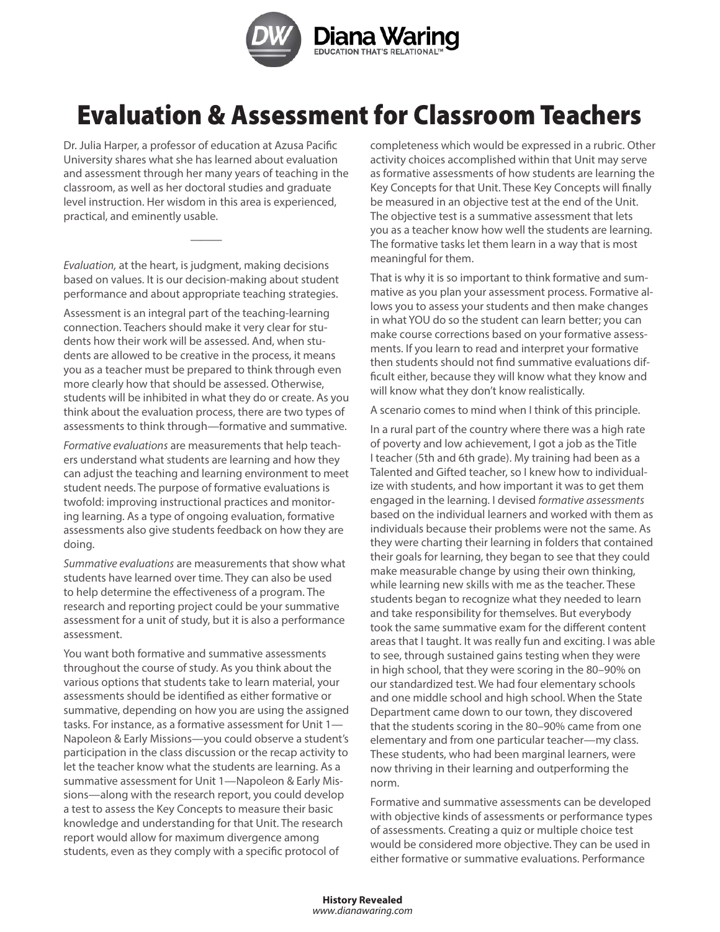

## Evaluation & Assessment for Classroom Teachers

Dr. Julia Harper, a professor of education at Azusa Pacific University shares what she has learned about evaluation and assessment through her many years of teaching in the classroom, as well as her doctoral studies and graduate level instruction. Her wisdom in this area is experienced, practical, and eminently usable.

 $\overline{\phantom{a}}$ 

*Evaluation,* at the heart, is judgment, making decisions based on values. It is our decision-making about student performance and about appropriate teaching strategies.

Assessment is an integral part of the teaching-learning connection. Teachers should make it very clear for students how their work will be assessed. And, when students are allowed to be creative in the process, it means you as a teacher must be prepared to think through even more clearly how that should be assessed. Otherwise, students will be inhibited in what they do or create. As you think about the evaluation process, there are two types of assessments to think through—formative and summative.

*Formative evaluations* are measurements that help teachers understand what students are learning and how they can adjust the teaching and learning environment to meet student needs. The purpose of formative evaluations is twofold: improving instructional practices and monitoring learning. As a type of ongoing evaluation, formative assessments also give students feedback on how they are doing.

*Summative evaluations* are measurements that show what students have learned over time. They can also be used to help determine the effectiveness of a program. The research and reporting project could be your summative assessment for a unit of study, but it is also a performance assessment.

You want both formative and summative assessments throughout the course of study. As you think about the various options that students take to learn material, your assessments should be identified as either formative or summative, depending on how you are using the assigned tasks. For instance, as a formative assessment for Unit 1— Napoleon & Early Missions—you could observe a student's participation in the class discussion or the recap activity to let the teacher know what the students are learning. As a summative assessment for Unit 1—Napoleon & Early Missions—along with the research report, you could develop a test to assess the Key Concepts to measure their basic knowledge and understanding for that Unit. The research report would allow for maximum divergence among students, even as they comply with a specific protocol of

completeness which would be expressed in a rubric. Other activity choices accomplished within that Unit may serve as formative assessments of how students are learning the Key Concepts for that Unit. These Key Concepts will finally be measured in an objective test at the end of the Unit. The objective test is a summative assessment that lets you as a teacher know how well the students are learning. The formative tasks let them learn in a way that is most meaningful for them.

That is why it is so important to think formative and summative as you plan your assessment process. Formative allows you to assess your students and then make changes in what YOU do so the student can learn better; you can make course corrections based on your formative assessments. If you learn to read and interpret your formative then students should not find summative evaluations difficult either, because they will know what they know and will know what they don't know realistically.

A scenario comes to mind when I think of this principle.

In a rural part of the country where there was a high rate of poverty and low achievement, I got a job as the Title I teacher (5th and 6th grade). My training had been as a Talented and Gifted teacher, so I knew how to individualize with students, and how important it was to get them engaged in the learning. I devised *formative assessments* based on the individual learners and worked with them as individuals because their problems were not the same. As they were charting their learning in folders that contained their goals for learning, they began to see that they could make measurable change by using their own thinking, while learning new skills with me as the teacher. These students began to recognize what they needed to learn and take responsibility for themselves. But everybody took the same summative exam for the different content areas that I taught. It was really fun and exciting. I was able to see, through sustained gains testing when they were in high school, that they were scoring in the 80–90% on our standardized test. We had four elementary schools and one middle school and high school. When the State Department came down to our town, they discovered that the students scoring in the 80–90% came from one elementary and from one particular teacher—my class. These students, who had been marginal learners, were now thriving in their learning and outperforming the norm.

Formative and summative assessments can be developed with objective kinds of assessments or performance types of assessments. Creating a quiz or multiple choice test would be considered more objective. They can be used in either formative or summative evaluations. Performance